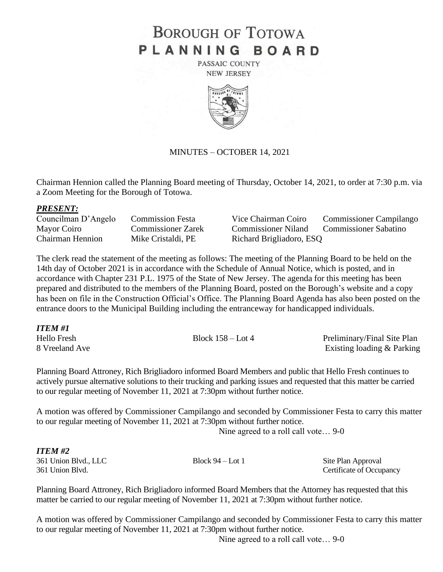# **BOROUGH OF TOTOWA** PLANNING BOARD

PASSAIC COUNTY **NEW JERSEY** 



### MINUTES – OCTOBER 14, 2021

Chairman Hennion called the Planning Board meeting of Thursday, October 14, 2021, to order at 7:30 p.m. via a Zoom Meeting for the Borough of Totowa.

#### *PRESENT:*

Chairman Hennion Mike Cristaldi, PE Richard Brigliadoro, ESQ

Councilman D'Angelo Commission Festa Vice Chairman Coiro Commissioner Campilango Mayor Coiro Commissioner Zarek Commissioner Niland Commissioner Sabatino

The clerk read the statement of the meeting as follows: The meeting of the Planning Board to be held on the 14th day of October 2021 is in accordance with the Schedule of Annual Notice, which is posted, and in accordance with Chapter 231 P.L. 1975 of the State of New Jersey. The agenda for this meeting has been prepared and distributed to the members of the Planning Board, posted on the Borough's website and a copy has been on file in the Construction Official's Office. The Planning Board Agenda has also been posted on the entrance doors to the Municipal Building including the entranceway for handicapped individuals.

| ITEM #1            |                     |                             |
|--------------------|---------------------|-----------------------------|
| <b>Hello Fresh</b> | Block $158 -$ Lot 4 | Preliminary/Final Site Plan |
| 8 Vreeland Ave     |                     | Existing loading & Parking  |

Planning Board Attroney, Rich Brigliadoro informed Board Members and public that Hello Fresh continues to actively pursue alternative solutions to their trucking and parking issues and requested that this matter be carried to our regular meeting of November 11, 2021 at 7:30pm without further notice.

A motion was offered by Commissioner Campilango and seconded by Commissioner Festa to carry this matter to our regular meeting of November 11, 2021 at 7:30pm without further notice.

Nine agreed to a roll call vote… 9-0

### *ITEM #2*

361 Union Blvd., LLC Block 94 – Lot 1 Site Plan Approval 361 Union Blvd. Certificate of Occupancy

Planning Board Attroney, Rich Brigliadoro informed Board Members that the Attorney has requested that this matter be carried to our regular meeting of November 11, 2021 at 7:30pm without further notice.

A motion was offered by Commissioner Campilango and seconded by Commissioner Festa to carry this matter to our regular meeting of November 11, 2021 at 7:30pm without further notice.

Nine agreed to a roll call vote… 9-0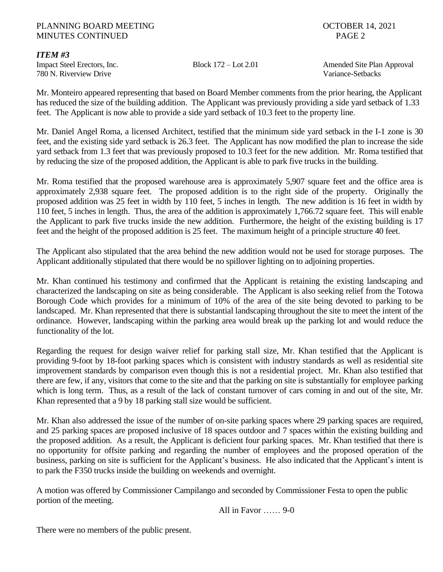## PLANNING BOARD MEETING **DEEPING COLLEGER** 14, 2021 MINUTES CONTINUED PAGE 2

## *ITEM #3*

780 N. Riverview Drive Variance-Setbacks

Impact Steel Erectors, Inc. Block 172 – Lot 2.01 Amended Site Plan Approval

Mr. Monteiro appeared representing that based on Board Member comments from the prior hearing, the Applicant has reduced the size of the building addition. The Applicant was previously providing a side yard setback of 1.33 feet. The Applicant is now able to provide a side yard setback of 10.3 feet to the property line.

Mr. Daniel Angel Roma, a licensed Architect, testified that the minimum side yard setback in the I-1 zone is 30 feet, and the existing side yard setback is 26.3 feet. The Applicant has now modified the plan to increase the side yard setback from 1.3 feet that was previously proposed to 10.3 feet for the new addition. Mr. Roma testified that by reducing the size of the proposed addition, the Applicant is able to park five trucks in the building.

Mr. Roma testified that the proposed warehouse area is approximately 5,907 square feet and the office area is approximately 2,938 square feet. The proposed addition is to the right side of the property. Originally the proposed addition was 25 feet in width by 110 feet, 5 inches in length. The new addition is 16 feet in width by 110 feet, 5 inches in length. Thus, the area of the addition is approximately 1,766.72 square feet. This will enable the Applicant to park five trucks inside the new addition. Furthermore, the height of the existing building is 17 feet and the height of the proposed addition is 25 feet. The maximum height of a principle structure 40 feet.

The Applicant also stipulated that the area behind the new addition would not be used for storage purposes. The Applicant additionally stipulated that there would be no spillover lighting on to adjoining properties.

Mr. Khan continued his testimony and confirmed that the Applicant is retaining the existing landscaping and characterized the landscaping on site as being considerable. The Applicant is also seeking relief from the Totowa Borough Code which provides for a minimum of 10% of the area of the site being devoted to parking to be landscaped. Mr. Khan represented that there is substantial landscaping throughout the site to meet the intent of the ordinance. However, landscaping within the parking area would break up the parking lot and would reduce the functionality of the lot.

Regarding the request for design waiver relief for parking stall size, Mr. Khan testified that the Applicant is providing 9-foot by 18-foot parking spaces which is consistent with industry standards as well as residential site improvement standards by comparison even though this is not a residential project. Mr. Khan also testified that there are few, if any, visitors that come to the site and that the parking on site is substantially for employee parking which is long term. Thus, as a result of the lack of constant turnover of cars coming in and out of the site, Mr. Khan represented that a 9 by 18 parking stall size would be sufficient.

Mr. Khan also addressed the issue of the number of on-site parking spaces where 29 parking spaces are required, and 25 parking spaces are proposed inclusive of 18 spaces outdoor and 7 spaces within the existing building and the proposed addition. As a result, the Applicant is deficient four parking spaces. Mr. Khan testified that there is no opportunity for offsite parking and regarding the number of employees and the proposed operation of the business, parking on site is sufficient for the Applicant's business. He also indicated that the Applicant's intent is to park the F350 trucks inside the building on weekends and overnight.

A motion was offered by Commissioner Campilango and seconded by Commissioner Festa to open the public portion of the meeting.

All in Favor …… 9-0

There were no members of the public present.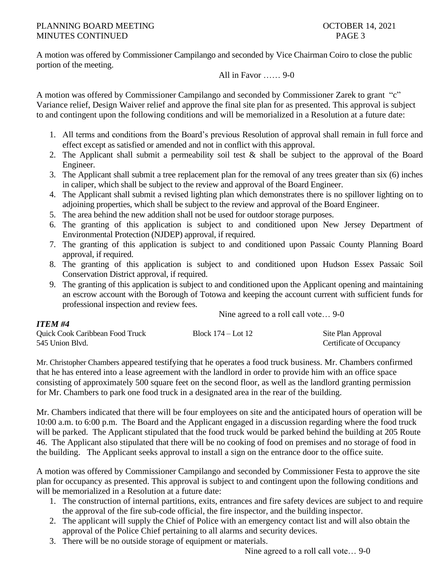A motion was offered by Commissioner Campilango and seconded by Vice Chairman Coiro to close the public portion of the meeting.

## All in Favor …… 9-0

A motion was offered by Commissioner Campilango and seconded by Commissioner Zarek to grant "c" Variance relief, Design Waiver relief and approve the final site plan for as presented. This approval is subject to and contingent upon the following conditions and will be memorialized in a Resolution at a future date:

- 1. All terms and conditions from the Board's previous Resolution of approval shall remain in full force and effect except as satisfied or amended and not in conflict with this approval.
- 2. The Applicant shall submit a permeability soil test & shall be subject to the approval of the Board Engineer.
- 3. The Applicant shall submit a tree replacement plan for the removal of any trees greater than six (6) inches in caliper, which shall be subject to the review and approval of the Board Engineer.
- 4. The Applicant shall submit a revised lighting plan which demonstrates there is no spillover lighting on to adjoining properties, which shall be subject to the review and approval of the Board Engineer.
- 5. The area behind the new addition shall not be used for outdoor storage purposes.
- 6. The granting of this application is subject to and conditioned upon New Jersey Department of Environmental Protection (NJDEP) approval, if required.
- 7. The granting of this application is subject to and conditioned upon Passaic County Planning Board approval, if required.
- 8. The granting of this application is subject to and conditioned upon Hudson Essex Passaic Soil Conservation District approval, if required.
- 9. The granting of this application is subject to and conditioned upon the Applicant opening and maintaining an escrow account with the Borough of Totowa and keeping the account current with sufficient funds for professional inspection and review fees.

Nine agreed to a roll call vote… 9-0

| <b>ITEM#4</b>                   |                    |                          |
|---------------------------------|--------------------|--------------------------|
| Quick Cook Caribbean Food Truck | Block 174 – Lot 12 | Site Plan Approval       |
| 545 Union Blyd.                 |                    | Certificate of Occupancy |

Mr. Christopher Chambers appeared testifying that he operates a food truck business. Mr. Chambers confirmed that he has entered into a lease agreement with the landlord in order to provide him with an office space consisting of approximately 500 square feet on the second floor, as well as the landlord granting permission for Mr. Chambers to park one food truck in a designated area in the rear of the building.

Mr. Chambers indicated that there will be four employees on site and the anticipated hours of operation will be 10:00 a.m. to 6:00 p.m. The Board and the Applicant engaged in a discussion regarding where the food truck will be parked. The Applicant stipulated that the food truck would be parked behind the building at 205 Route 46. The Applicant also stipulated that there will be no cooking of food on premises and no storage of food in the building. The Applicant seeks approval to install a sign on the entrance door to the office suite.

A motion was offered by Commissioner Campilango and seconded by Commissioner Festa to approve the site plan for occupancy as presented. This approval is subject to and contingent upon the following conditions and will be memorialized in a Resolution at a future date:

- 1. The construction of internal partitions, exits, entrances and fire safety devices are subject to and require the approval of the fire sub-code official, the fire inspector, and the building inspector.
- 2. The applicant will supply the Chief of Police with an emergency contact list and will also obtain the approval of the Police Chief pertaining to all alarms and security devices.
- 3. There will be no outside storage of equipment or materials.

Nine agreed to a roll call vote… 9-0